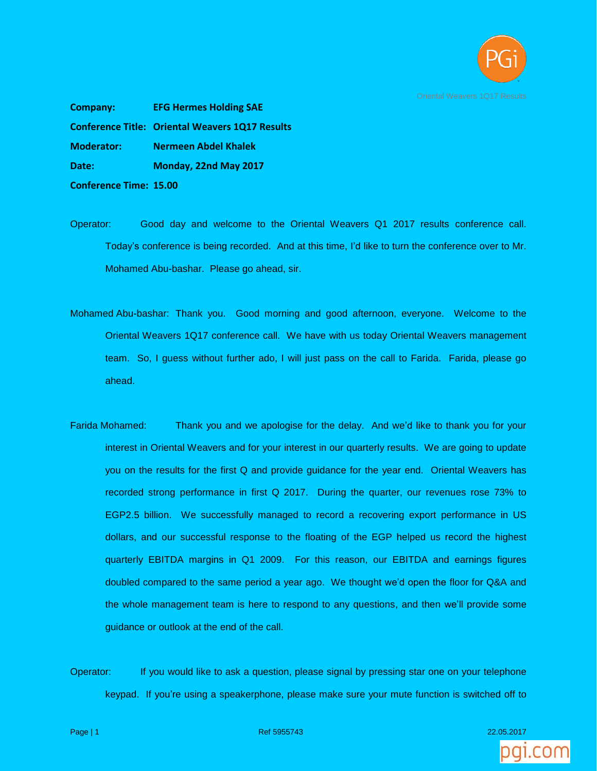

**Company: EFG Hermes Holding SAE Conference Title: Oriental Weavers 1Q17 Results Moderator: Nermeen Abdel Khalek Date: Monday, 22nd May 2017 Conference Time: 15.00**

- Operator: Good day and welcome to the Oriental Weavers Q1 2017 results conference call. Today's conference is being recorded. And at this time, I'd like to turn the conference over to Mr. Mohamed Abu-bashar. Please go ahead, sir.
- Mohamed Abu-bashar: Thank you. Good morning and good afternoon, everyone. Welcome to the Oriental Weavers 1Q17 conference call. We have with us today Oriental Weavers management team. So, I guess without further ado, I will just pass on the call to Farida. Farida, please go ahead.
- Farida Mohamed: Thank you and we apologise for the delay. And we'd like to thank you for your interest in Oriental Weavers and for your interest in our quarterly results. We are going to update you on the results for the first Q and provide guidance for the year end. Oriental Weavers has recorded strong performance in first Q 2017. During the quarter, our revenues rose 73% to EGP2.5 billion. We successfully managed to record a recovering export performance in US dollars, and our successful response to the floating of the EGP helped us record the highest quarterly EBITDA margins in Q1 2009. For this reason, our EBITDA and earnings figures doubled compared to the same period a year ago. We thought we'd open the floor for Q&A and the whole management team is here to respond to any questions, and then we'll provide some guidance or outlook at the end of the call.
- Operator: If you would like to ask a question, please signal by pressing star one on your telephone keypad. If you're using a speakerphone, please make sure your mute function is switched off to



Page | 1 Ref 5955743 22.05.2017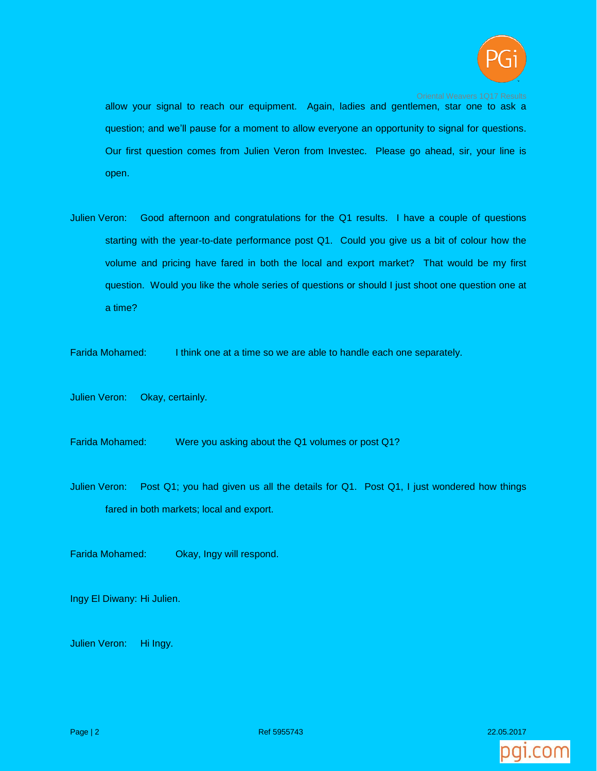

allow your signal to reach our equipment. Again, ladies and gentlemen, star one to ask a question; and we'll pause for a moment to allow everyone an opportunity to signal for questions. Our first question comes from Julien Veron from Investec. Please go ahead, sir, your line is open.

Julien Veron: Good afternoon and congratulations for the Q1 results. I have a couple of questions starting with the year-to-date performance post Q1. Could you give us a bit of colour how the volume and pricing have fared in both the local and export market? That would be my first question. Would you like the whole series of questions or should I just shoot one question one at a time?

Farida Mohamed: I think one at a time so we are able to handle each one separately.

Julien Veron: Okay, certainly.

Farida Mohamed: Were you asking about the Q1 volumes or post Q1?

Julien Veron: Post Q1; you had given us all the details for Q1. Post Q1, I just wondered how things fared in both markets; local and export.

Farida Mohamed: Okay, Ingy will respond.

Ingy El Diwany: Hi Julien.

Julien Veron: Hi Ingy.

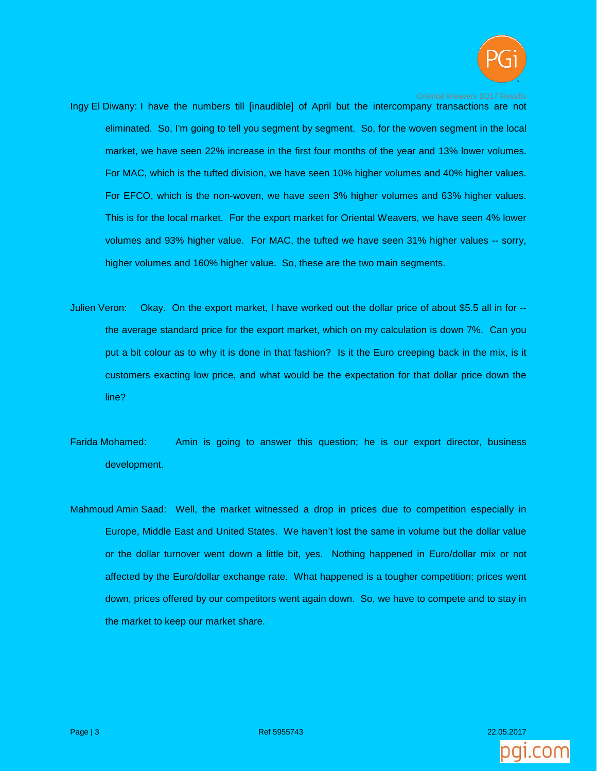

- Ingy El Diwany: I have the numbers till [inaudible] of April but the intercompany transactions are not eliminated. So, I'm going to tell you segment by segment. So, for the woven segment in the local market, we have seen 22% increase in the first four months of the year and 13% lower volumes. For MAC, which is the tufted division, we have seen 10% higher volumes and 40% higher values. For EFCO, which is the non-woven, we have seen 3% higher volumes and 63% higher values. This is for the local market. For the export market for Oriental Weavers, we have seen 4% lower volumes and 93% higher value. For MAC, the tufted we have seen 31% higher values -- sorry, higher volumes and 160% higher value. So, these are the two main segments.
- Julien Veron: Okay. On the export market, I have worked out the dollar price of about \$5.5 all in for the average standard price for the export market, which on my calculation is down 7%. Can you put a bit colour as to why it is done in that fashion? Is it the Euro creeping back in the mix, is it customers exacting low price, and what would be the expectation for that dollar price down the line?
- Farida Mohamed: Amin is going to answer this question; he is our export director, business development.
- Mahmoud Amin Saad: Well, the market witnessed a drop in prices due to competition especially in Europe, Middle East and United States. We haven't lost the same in volume but the dollar value or the dollar turnover went down a little bit, yes. Nothing happened in Euro/dollar mix or not affected by the Euro/dollar exchange rate. What happened is a tougher competition; prices went down, prices offered by our competitors went again down. So, we have to compete and to stay in the market to keep our market share.

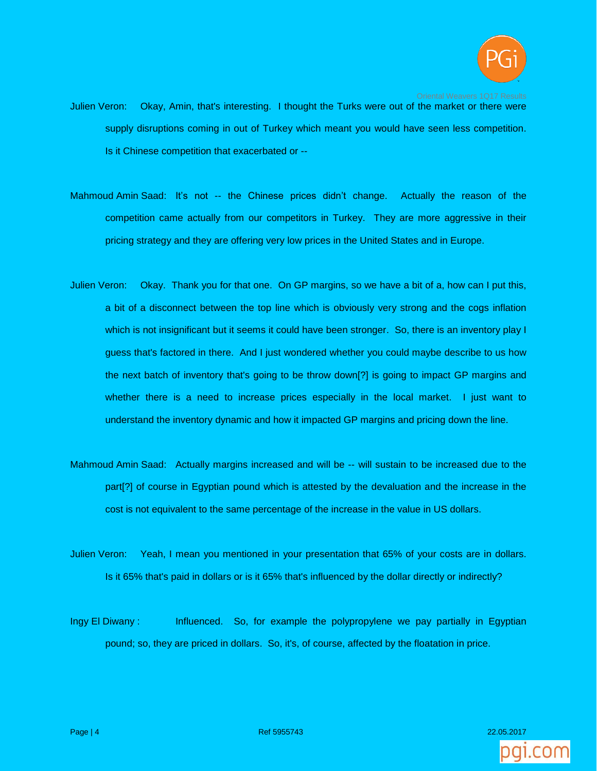

- Julien Veron: Okay, Amin, that's interesting. I thought the Turks were out of the market or there were supply disruptions coming in out of Turkey which meant you would have seen less competition. Is it Chinese competition that exacerbated or --
- Mahmoud Amin Saad: It's not -- the Chinese prices didn't change. Actually the reason of the competition came actually from our competitors in Turkey. They are more aggressive in their pricing strategy and they are offering very low prices in the United States and in Europe.
- Julien Veron: Okay. Thank you for that one. On GP margins, so we have a bit of a, how can I put this, a bit of a disconnect between the top line which is obviously very strong and the cogs inflation which is not insignificant but it seems it could have been stronger. So, there is an inventory play I guess that's factored in there. And I just wondered whether you could maybe describe to us how the next batch of inventory that's going to be throw down[?] is going to impact GP margins and whether there is a need to increase prices especially in the local market. I just want to understand the inventory dynamic and how it impacted GP margins and pricing down the line.
- Mahmoud Amin Saad: Actually margins increased and will be -- will sustain to be increased due to the part[?] of course in Egyptian pound which is attested by the devaluation and the increase in the cost is not equivalent to the same percentage of the increase in the value in US dollars.
- Julien Veron: Yeah, I mean you mentioned in your presentation that 65% of your costs are in dollars. Is it 65% that's paid in dollars or is it 65% that's influenced by the dollar directly or indirectly?
- Ingy El Diwany : Influenced. So, for example the polypropylene we pay partially in Egyptian pound; so, they are priced in dollars. So, it's, of course, affected by the floatation in price.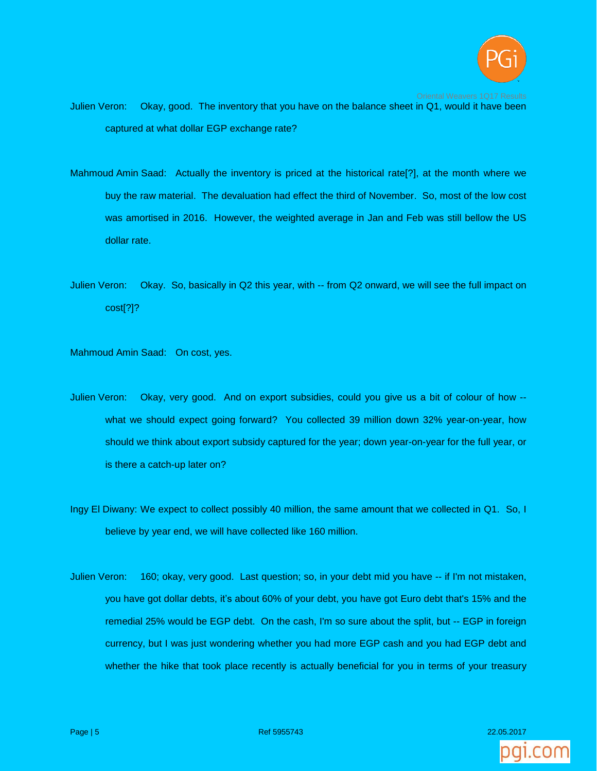

- Julien Veron: Okay, good. The inventory that you have on the balance sheet in Q1, would it have been captured at what dollar EGP exchange rate?
- Mahmoud Amin Saad: Actually the inventory is priced at the historical rate[?], at the month where we buy the raw material. The devaluation had effect the third of November. So, most of the low cost was amortised in 2016. However, the weighted average in Jan and Feb was still bellow the US dollar rate.
- Julien Veron: Okay. So, basically in Q2 this year, with -- from Q2 onward, we will see the full impact on cost[?]?

Mahmoud Amin Saad: On cost, yes.

- Julien Veron: Okay, very good. And on export subsidies, could you give us a bit of colour of how what we should expect going forward? You collected 39 million down 32% year-on-year, how should we think about export subsidy captured for the year; down year-on-year for the full year, or is there a catch-up later on?
- Ingy El Diwany: We expect to collect possibly 40 million, the same amount that we collected in Q1. So, I believe by year end, we will have collected like 160 million.
- Julien Veron: 160; okay, very good. Last question; so, in your debt mid you have -- if I'm not mistaken, you have got dollar debts, it's about 60% of your debt, you have got Euro debt that's 15% and the remedial 25% would be EGP debt. On the cash, I'm so sure about the split, but -- EGP in foreign currency, but I was just wondering whether you had more EGP cash and you had EGP debt and whether the hike that took place recently is actually beneficial for you in terms of your treasury

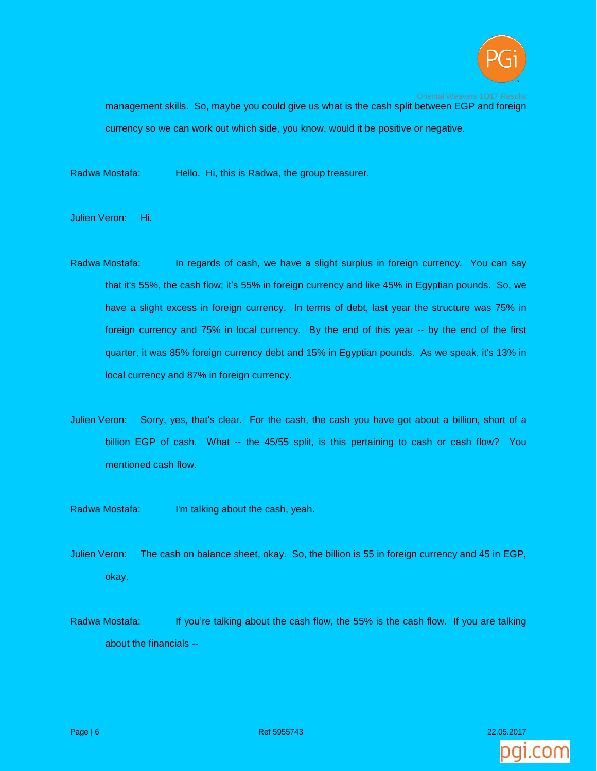

management skills. So, maybe you could give us what is the cash split between EGP and foreign currency so we can work out which side, you know, would it be positive or negative.

Radwa Mostafa: Hello. Hi, this is Radwa, the group treasurer.

Julien Veron: Hi.

- Radwa Mostafa: In regards of cash, we have a slight surplus in foreign currency. You can say that it's 55%, the cash flow; it's 55% in foreign currency and like 45% in Egyptian pounds. So, we have a slight excess in foreign currency. In terms of debt, last year the structure was 75% in foreign currency and 75% in local currency. By the end of this year -- by the end of the first quarter, it was 85% foreign currency debt and 15% in Egyptian pounds. As we speak, it's 13% in local currency and 87% in foreign currency.
- Julien Veron: Sorry, yes, that's clear. For the cash, the cash you have got about a billion, short of a billion EGP of cash. What -- the 45/55 split, is this pertaining to cash or cash flow? You mentioned cash flow.
- Radwa Mostafa: I'm talking about the cash, yeah.
- Julien Veron: The cash on balance sheet, okay. So, the billion is 55 in foreign currency and 45 in EGP, okay.
- Radwa Mostafa: If you're talking about the cash flow, the 55% is the cash flow. If you are talking about the financials --

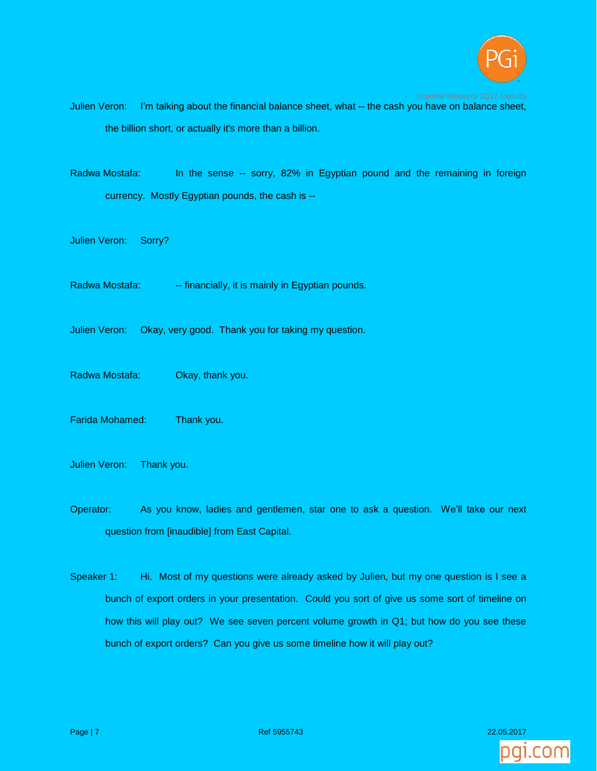

- Julien Veron: I'm talking about the financial balance sheet, what -- the cash you have on balance sheet, the billion short, or actually it's more than a billion.
- Radwa Mostafa: In the sense -- sorry, 82% in Egyptian pound and the remaining in foreign currency. Mostly Egyptian pounds, the cash is --
- Julien Veron: Sorry?
- Radwa Mostafa: --- financially, it is mainly in Egyptian pounds.
- Julien Veron: Okay, very good. Thank you for taking my question.
- Radwa Mostafa: Okay, thank you.
- Farida Mohamed: Thank you.
- Julien Veron: Thank you.
- Operator: As you know, ladies and gentlemen, star one to ask a question. We'll take our next question from [inaudible] from East Capital.
- Speaker 1: Hi. Most of my questions were already asked by Julien, but my one question is I see a bunch of export orders in your presentation. Could you sort of give us some sort of timeline on how this will play out? We see seven percent volume growth in Q1; but how do you see these bunch of export orders? Can you give us some timeline how it will play out?

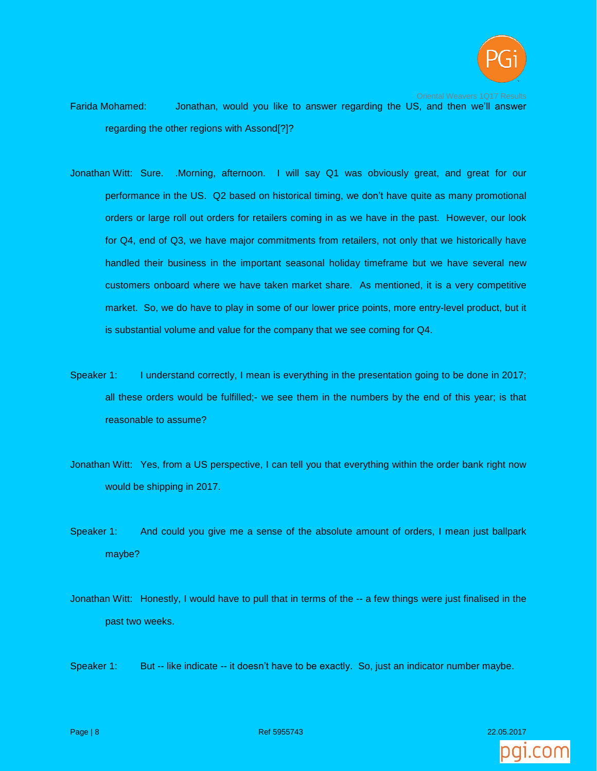

Farida Mohamed: Jonathan, would you like to answer regarding the US, and then we'll answer regarding the other regions with Assond[?]?

- Jonathan Witt: Sure. .Morning, afternoon. I will say Q1 was obviously great, and great for our performance in the US. Q2 based on historical timing, we don't have quite as many promotional orders or large roll out orders for retailers coming in as we have in the past. However, our look for Q4, end of Q3, we have major commitments from retailers, not only that we historically have handled their business in the important seasonal holiday timeframe but we have several new customers onboard where we have taken market share. As mentioned, it is a very competitive market. So, we do have to play in some of our lower price points, more entry-level product, but it is substantial volume and value for the company that we see coming for Q4.
- Speaker 1: I understand correctly, I mean is everything in the presentation going to be done in 2017; all these orders would be fulfilled;- we see them in the numbers by the end of this year; is that reasonable to assume?
- Jonathan Witt: Yes, from a US perspective, I can tell you that everything within the order bank right now would be shipping in 2017.
- Speaker 1: And could you give me a sense of the absolute amount of orders, I mean just ballpark maybe?
- Jonathan Witt: Honestly, I would have to pull that in terms of the -- a few things were just finalised in the past two weeks.

Speaker 1: But -- like indicate -- it doesn't have to be exactly. So, just an indicator number maybe.

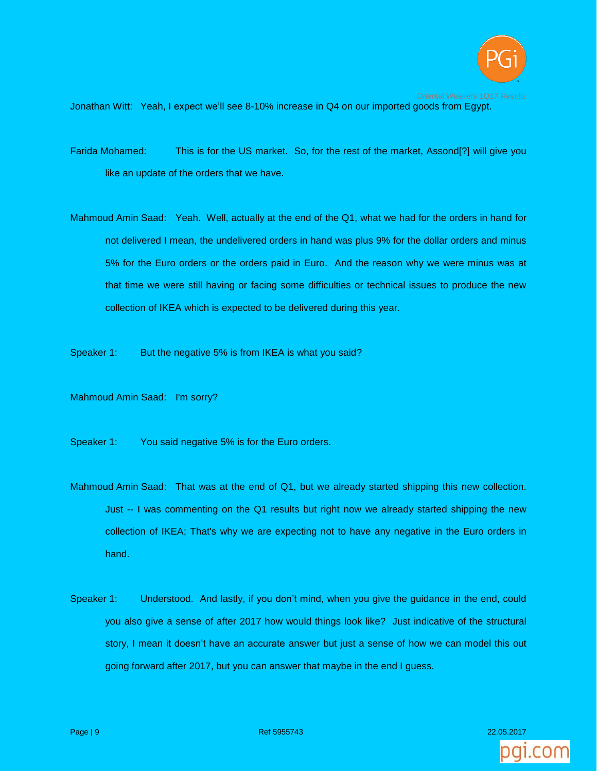

Jonathan Witt: Yeah, I expect we'll see 8-10% increase in Q4 on our imported goods from Egypt.

- Farida Mohamed: This is for the US market. So, for the rest of the market, Assond[?] will give you like an update of the orders that we have.
- Mahmoud Amin Saad: Yeah. Well, actually at the end of the Q1, what we had for the orders in hand for not delivered I mean, the undelivered orders in hand was plus 9% for the dollar orders and minus 5% for the Euro orders or the orders paid in Euro. And the reason why we were minus was at that time we were still having or facing some difficulties or technical issues to produce the new collection of IKEA which is expected to be delivered during this year.
- Speaker 1: But the negative 5% is from IKEA is what you said?
- Mahmoud Amin Saad: I'm sorry?
- Speaker 1: You said negative 5% is for the Euro orders.
- Mahmoud Amin Saad: That was at the end of Q1, but we already started shipping this new collection. Just -- I was commenting on the Q1 results but right now we already started shipping the new collection of IKEA; That's why we are expecting not to have any negative in the Euro orders in hand.
- Speaker 1: Understood. And lastly, if you don't mind, when you give the guidance in the end, could you also give a sense of after 2017 how would things look like? Just indicative of the structural story, I mean it doesn't have an accurate answer but just a sense of how we can model this out going forward after 2017, but you can answer that maybe in the end I guess.

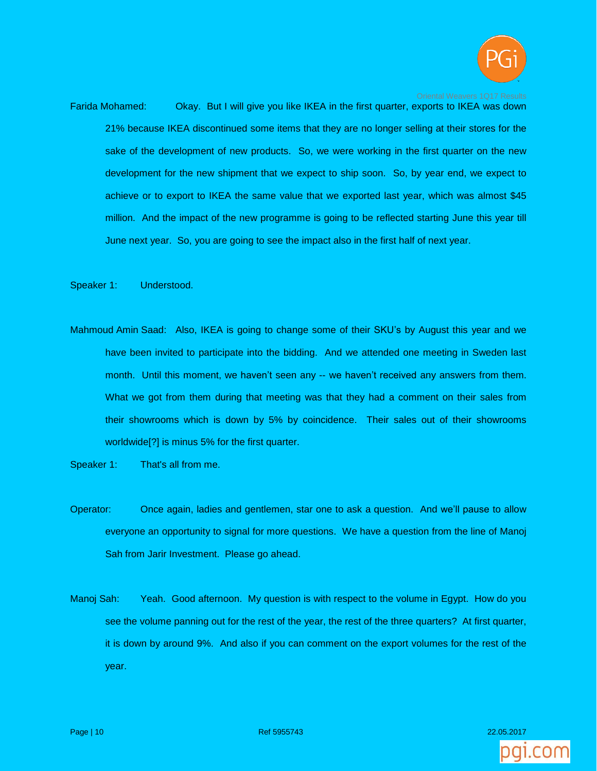

Farida Mohamed: Okay. But I will give you like IKEA in the first quarter, exports to IKEA was down 21% because IKEA discontinued some items that they are no longer selling at their stores for the sake of the development of new products. So, we were working in the first quarter on the new development for the new shipment that we expect to ship soon. So, by year end, we expect to achieve or to export to IKEA the same value that we exported last year, which was almost \$45 million. And the impact of the new programme is going to be reflected starting June this year till June next year. So, you are going to see the impact also in the first half of next year.

Speaker 1: Understood.

- Mahmoud Amin Saad: Also, IKEA is going to change some of their SKU's by August this year and we have been invited to participate into the bidding. And we attended one meeting in Sweden last month. Until this moment, we haven't seen any -- we haven't received any answers from them. What we got from them during that meeting was that they had a comment on their sales from their showrooms which is down by 5% by coincidence. Their sales out of their showrooms worldwide[?] is minus 5% for the first quarter.
- Speaker 1: That's all from me.
- Operator: Once again, ladies and gentlemen, star one to ask a question. And we'll pause to allow everyone an opportunity to signal for more questions. We have a question from the line of Manoj Sah from Jarir Investment. Please go ahead.
- Manoj Sah: Yeah. Good afternoon. My question is with respect to the volume in Egypt. How do you see the volume panning out for the rest of the year, the rest of the three quarters? At first quarter, it is down by around 9%. And also if you can comment on the export volumes for the rest of the year.

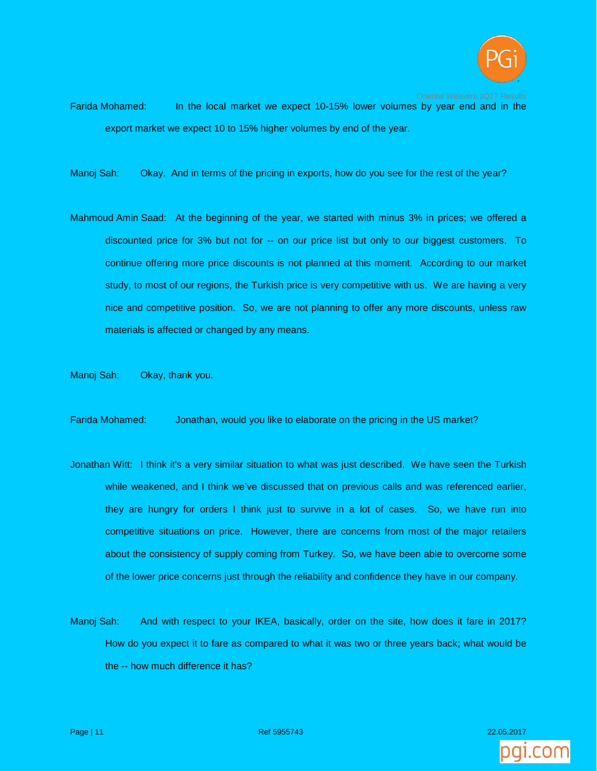

Farida Mohamed: In the local market we expect 10-15% lower volumes by year end and in the export market we expect 10 to 15% higher volumes by end of the year.

Manoj Sah: Okay. And in terms of the pricing in exports, how do you see for the rest of the year?

Mahmoud Amin Saad: At the beginning of the year, we started with minus 3% in prices; we offered a discounted price for 3% but not for -- on our price list but only to our biggest customers. To continue offering more price discounts is not planned at this moment. According to our market study, to most of our regions, the Turkish price is very competitive with us. We are having a very nice and competitive position. So, we are not planning to offer any more discounts, unless raw materials is affected or changed by any means.

Manoj Sah: Okay, thank you.

Farida Mohamed: Jonathan, would you like to elaborate on the pricing in the US market?

- Jonathan Witt: I think it's a very similar situation to what was just described. We have seen the Turkish while weakened, and I think we've discussed that on previous calls and was referenced earlier, they are hungry for orders I think just to survive in a lot of cases. So, we have run into competitive situations on price. However, there are concerns from most of the major retailers about the consistency of supply coming from Turkey. So, we have been able to overcome some of the lower price concerns just through the reliability and confidence they have in our company.
- Manoj Sah: And with respect to your IKEA, basically, order on the site, how does it fare in 2017? How do you expect it to fare as compared to what it was two or three years back; what would be the -- how much difference it has?

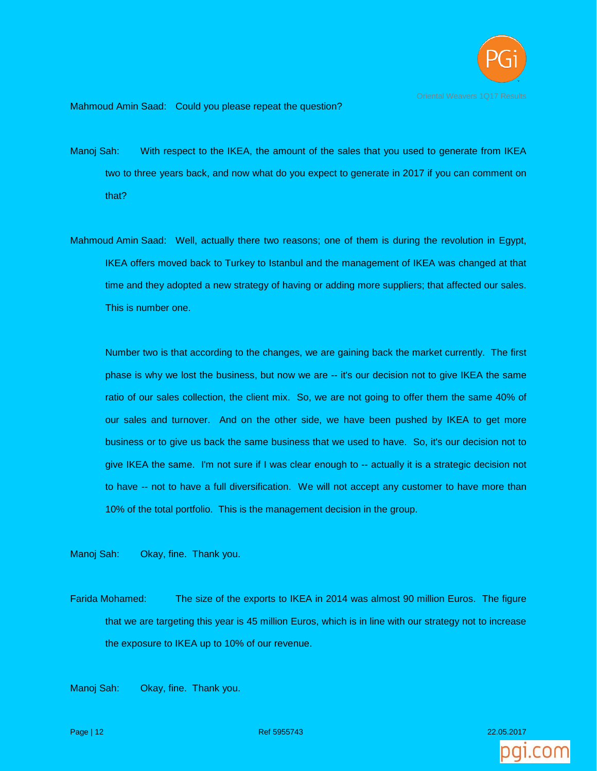

Mahmoud Amin Saad: Could you please repeat the question?

- Manoj Sah: With respect to the IKEA, the amount of the sales that you used to generate from IKEA two to three years back, and now what do you expect to generate in 2017 if you can comment on that?
- Mahmoud Amin Saad: Well, actually there two reasons; one of them is during the revolution in Egypt, IKEA offers moved back to Turkey to Istanbul and the management of IKEA was changed at that time and they adopted a new strategy of having or adding more suppliers; that affected our sales. This is number one.

Number two is that according to the changes, we are gaining back the market currently. The first phase is why we lost the business, but now we are -- it's our decision not to give IKEA the same ratio of our sales collection, the client mix. So, we are not going to offer them the same 40% of our sales and turnover. And on the other side, we have been pushed by IKEA to get more business or to give us back the same business that we used to have. So, it's our decision not to give IKEA the same. I'm not sure if I was clear enough to -- actually it is a strategic decision not to have -- not to have a full diversification. We will not accept any customer to have more than 10% of the total portfolio. This is the management decision in the group.

Manoj Sah: Okay, fine. Thank you.

Farida Mohamed: The size of the exports to IKEA in 2014 was almost 90 million Euros. The figure that we are targeting this year is 45 million Euros, which is in line with our strategy not to increase the exposure to IKEA up to 10% of our revenue.

Manoj Sah: Okay, fine. Thank you.

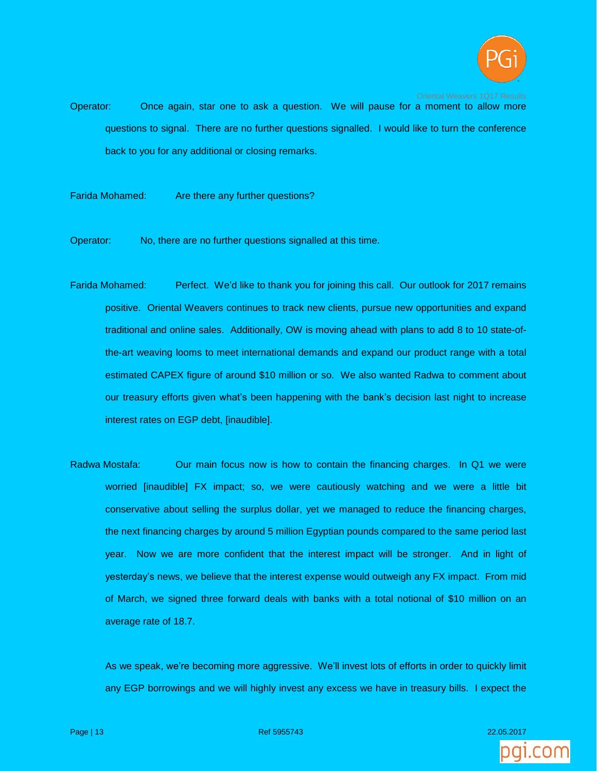

Operator: Once again, star one to ask a question. We will pause for a moment to allow more questions to signal. There are no further questions signalled. I would like to turn the conference back to you for any additional or closing remarks.

Farida Mohamed: Are there any further questions?

Operator: No, there are no further questions signalled at this time.

- Farida Mohamed: Perfect. We'd like to thank you for joining this call. Our outlook for 2017 remains positive. Oriental Weavers continues to track new clients, pursue new opportunities and expand traditional and online sales. Additionally, OW is moving ahead with plans to add 8 to 10 state-ofthe-art weaving looms to meet international demands and expand our product range with a total estimated CAPEX figure of around \$10 million or so. We also wanted Radwa to comment about our treasury efforts given what's been happening with the bank's decision last night to increase interest rates on EGP debt, [inaudible].
- Radwa Mostafa: Our main focus now is how to contain the financing charges. In Q1 we were worried [inaudible] FX impact; so, we were cautiously watching and we were a little bit conservative about selling the surplus dollar, yet we managed to reduce the financing charges, the next financing charges by around 5 million Egyptian pounds compared to the same period last year. Now we are more confident that the interest impact will be stronger. And in light of yesterday's news, we believe that the interest expense would outweigh any FX impact. From mid of March, we signed three forward deals with banks with a total notional of \$10 million on an average rate of 18.7.

As we speak, we're becoming more aggressive. We'll invest lots of efforts in order to quickly limit any EGP borrowings and we will highly invest any excess we have in treasury bills. I expect the